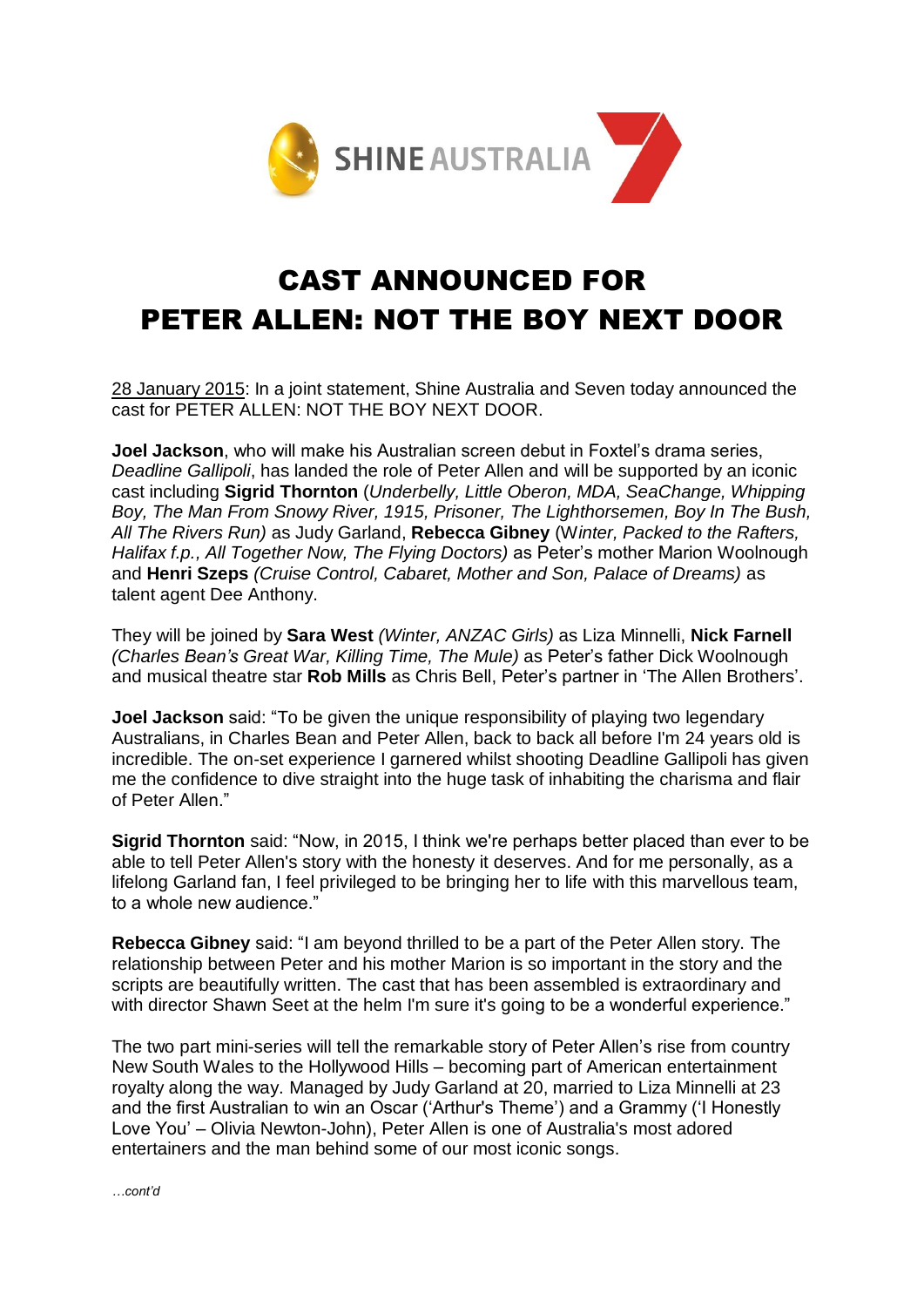

## CAST ANNOUNCED FOR PETER ALLEN: NOT THE BOY NEXT DOOR

28 January 2015: In a joint statement, Shine Australia and Seven today announced the cast for PETER ALLEN: NOT THE BOY NEXT DOOR.

**Joel Jackson**, who will make his Australian screen debut in Foxtel's drama series, *Deadline Gallipoli*, has landed the role of Peter Allen and will be supported by an iconic cast including **Sigrid Thornton** (*Underbelly, Little Oberon, MDA, SeaChange, Whipping Boy, The Man From Snowy River, 1915, Prisoner, The Lighthorsemen, Boy In The Bush, All The Rivers Run)* as Judy Garland, **Rebecca Gibney** (W*inter, Packed to the Rafters, Halifax f.p., All Together Now, The Flying Doctors)* as Peter's mother Marion Woolnough and **Henri Szeps** *(Cruise Control, Cabaret, Mother and Son, Palace of Dreams)* as talent agent Dee Anthony.

They will be joined by **Sara West** *(Winter, ANZAC Girls)* as Liza Minnelli, **Nick Farnell** *(Charles Bean's Great War, Killing Time, The Mule)* as Peter's father Dick Woolnough and musical theatre star **Rob Mills** as Chris Bell, Peter's partner in 'The Allen Brothers'.

**Joel Jackson** said: "To be given the unique responsibility of playing two legendary Australians, in Charles Bean and Peter Allen, back to back all before I'm 24 years old is incredible. The on-set experience I garnered whilst shooting Deadline Gallipoli has given me the confidence to dive straight into the huge task of inhabiting the charisma and flair of Peter Allen."

**Sigrid Thornton** said: "Now, in 2015, I think we're perhaps better placed than ever to be able to tell Peter Allen's story with the honesty it deserves. And for me personally, as a lifelong Garland fan, I feel privileged to be bringing her to life with this marvellous team, to a whole new audience."

**Rebecca Gibney** said: "I am beyond thrilled to be a part of the Peter Allen story. The relationship between Peter and his mother Marion is so important in the story and the scripts are beautifully written. The cast that has been assembled is extraordinary and with director Shawn Seet at the helm I'm sure it's going to be a wonderful experience."

The two part mini-series will tell the remarkable story of Peter Allen's rise from country New South Wales to the Hollywood Hills – becoming part of American entertainment royalty along the way. Managed by Judy Garland at 20, married to Liza Minnelli at 23 and the first Australian to win an Oscar ('Arthur's Theme') and a Grammy ('I Honestly Love You' – Olivia Newton-John), Peter Allen is one of Australia's most adored entertainers and the man behind some of our most iconic songs.